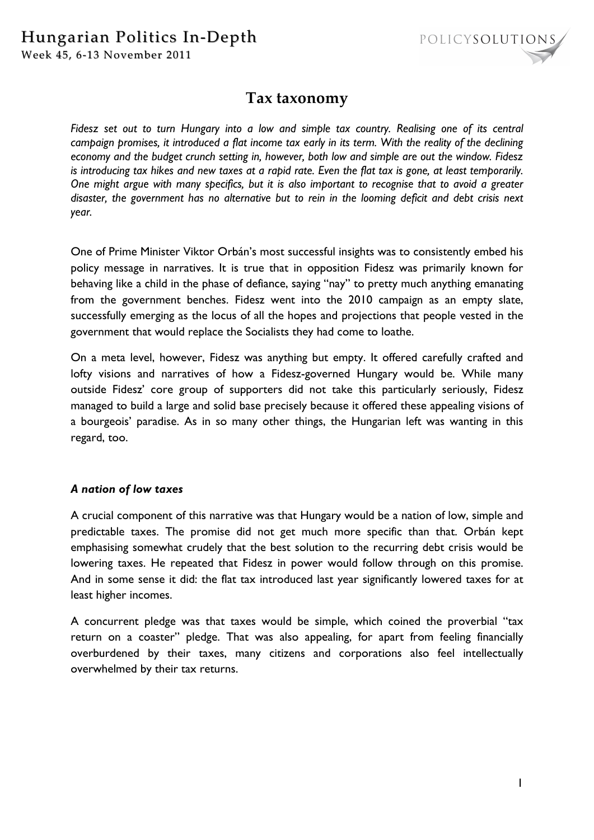Week 45, 6-13 November 2011



# **Tax taxonomy**

*Fidesz set out to turn Hungary into a low and simple tax country. Realising one of its central campaign promises, it introduced a flat income tax early in its term. With the reality of the declining economy and the budget crunch setting in, however, both low and simple are out the window. Fidesz is introducing tax hikes and new taxes at a rapid rate. Even the flat tax is gone, at least temporarily. One might argue with many specifics, but it is also important to recognise that to avoid a greater disaster, the government has no alternative but to rein in the looming deficit and debt crisis next year.* 

One of Prime Minister Viktor Orbán's most successful insights was to consistently embed his policy message in narratives. It is true that in opposition Fidesz was primarily known for behaving like a child in the phase of defiance, saying "nay" to pretty much anything emanating from the government benches. Fidesz went into the 2010 campaign as an empty slate, successfully emerging as the locus of all the hopes and projections that people vested in the government that would replace the Socialists they had come to loathe.

On a meta level, however, Fidesz was anything but empty. It offered carefully crafted and lofty visions and narratives of how a Fidesz-governed Hungary would be. While many outside Fidesz' core group of supporters did not take this particularly seriously, Fidesz managed to build a large and solid base precisely because it offered these appealing visions of a bourgeois' paradise. As in so many other things, the Hungarian left was wanting in this regard, too.

#### *A nation of low taxes*

A crucial component of this narrative was that Hungary would be a nation of low, simple and predictable taxes. The promise did not get much more specific than that. Orbán kept emphasising somewhat crudely that the best solution to the recurring debt crisis would be lowering taxes. He repeated that Fidesz in power would follow through on this promise. And in some sense it did: the flat tax introduced last year significantly lowered taxes for at least higher incomes.

A concurrent pledge was that taxes would be simple, which coined the proverbial "tax return on a coaster" pledge. That was also appealing, for apart from feeling financially overburdened by their taxes, many citizens and corporations also feel intellectually overwhelmed by their tax returns.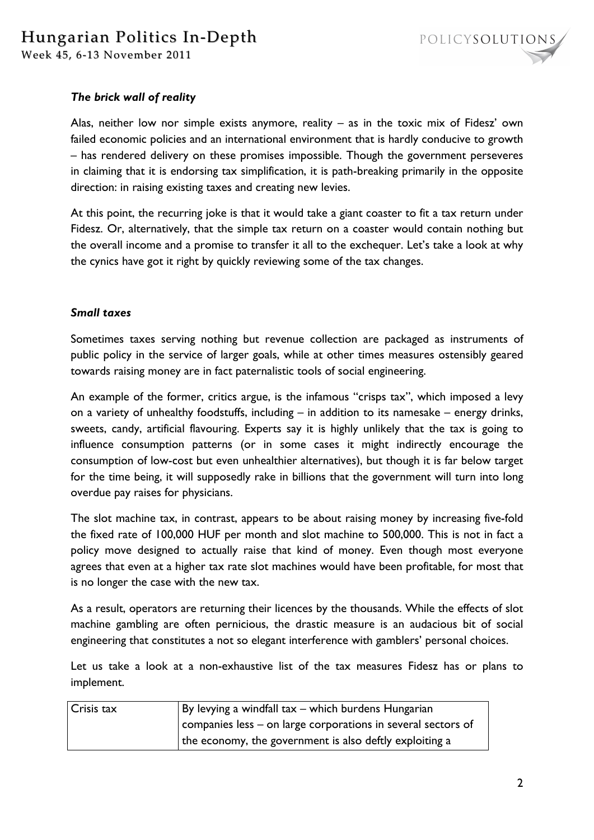

## *The brick wall of reality*

Alas, neither low nor simple exists anymore, reality – as in the toxic mix of Fidesz' own failed economic policies and an international environment that is hardly conducive to growth – has rendered delivery on these promises impossible. Though the government perseveres in claiming that it is endorsing tax simplification, it is path-breaking primarily in the opposite direction: in raising existing taxes and creating new levies.

At this point, the recurring joke is that it would take a giant coaster to fit a tax return under Fidesz. Or, alternatively, that the simple tax return on a coaster would contain nothing but the overall income and a promise to transfer it all to the exchequer. Let's take a look at why the cynics have got it right by quickly reviewing some of the tax changes.

#### *Small taxes*

Sometimes taxes serving nothing but revenue collection are packaged as instruments of public policy in the service of larger goals, while at other times measures ostensibly geared towards raising money are in fact paternalistic tools of social engineering.

An example of the former, critics argue, is the infamous "crisps tax", which imposed a levy on a variety of unhealthy foodstuffs, including – in addition to its namesake – energy drinks, sweets, candy, artificial flavouring. Experts say it is highly unlikely that the tax is going to influence consumption patterns (or in some cases it might indirectly encourage the consumption of low-cost but even unhealthier alternatives), but though it is far below target for the time being, it will supposedly rake in billions that the government will turn into long overdue pay raises for physicians.

The slot machine tax, in contrast, appears to be about raising money by increasing five-fold the fixed rate of 100,000 HUF per month and slot machine to 500,000. This is not in fact a policy move designed to actually raise that kind of money. Even though most everyone agrees that even at a higher tax rate slot machines would have been profitable, for most that is no longer the case with the new tax.

As a result, operators are returning their licences by the thousands. While the effects of slot machine gambling are often pernicious, the drastic measure is an audacious bit of social engineering that constitutes a not so elegant interference with gamblers' personal choices.

Let us take a look at a non-exhaustive list of the tax measures Fidesz has or plans to implement.

| <b>Crisis tax</b> | By levying a windfall tax - which burdens Hungarian          |
|-------------------|--------------------------------------------------------------|
|                   | companies less – on large corporations in several sectors of |
|                   | the economy, the government is also deftly exploiting a      |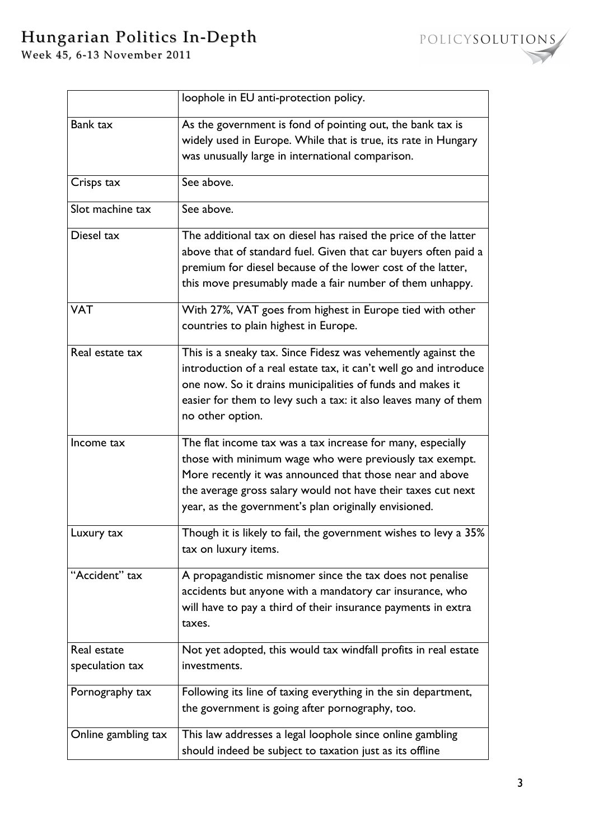# Hungarian Politics In-Depth

Week 45, 6-13 November 2011

|                                | loophole in EU anti-protection policy.                                                                                                                                                                                                                                                                      |
|--------------------------------|-------------------------------------------------------------------------------------------------------------------------------------------------------------------------------------------------------------------------------------------------------------------------------------------------------------|
| Bank tax                       | As the government is fond of pointing out, the bank tax is<br>widely used in Europe. While that is true, its rate in Hungary<br>was unusually large in international comparison.                                                                                                                            |
| Crisps tax                     | See above.                                                                                                                                                                                                                                                                                                  |
| Slot machine tax               | See above.                                                                                                                                                                                                                                                                                                  |
| Diesel tax                     | The additional tax on diesel has raised the price of the latter<br>above that of standard fuel. Given that car buyers often paid a<br>premium for diesel because of the lower cost of the latter,<br>this move presumably made a fair number of them unhappy.                                               |
| <b>VAT</b>                     | With 27%, VAT goes from highest in Europe tied with other<br>countries to plain highest in Europe.                                                                                                                                                                                                          |
| Real estate tax                | This is a sneaky tax. Since Fidesz was vehemently against the<br>introduction of a real estate tax, it can't well go and introduce<br>one now. So it drains municipalities of funds and makes it<br>easier for them to levy such a tax: it also leaves many of them<br>no other option.                     |
| Income tax                     | The flat income tax was a tax increase for many, especially<br>those with minimum wage who were previously tax exempt.<br>More recently it was announced that those near and above<br>the average gross salary would not have their taxes cut next<br>year, as the government's plan originally envisioned. |
| Luxury tax                     | Though it is likely to fail, the government wishes to levy a 35%<br>tax on luxury items.                                                                                                                                                                                                                    |
| "Accident" tax                 | A propagandistic misnomer since the tax does not penalise<br>accidents but anyone with a mandatory car insurance, who<br>will have to pay a third of their insurance payments in extra<br>taxes.                                                                                                            |
| Real estate<br>speculation tax | Not yet adopted, this would tax windfall profits in real estate<br>investments.                                                                                                                                                                                                                             |
| Pornography tax                | Following its line of taxing everything in the sin department,<br>the government is going after pornography, too.                                                                                                                                                                                           |
| Online gambling tax            | This law addresses a legal loophole since online gambling<br>should indeed be subject to taxation just as its offline                                                                                                                                                                                       |

POLICYSOLUTIONS